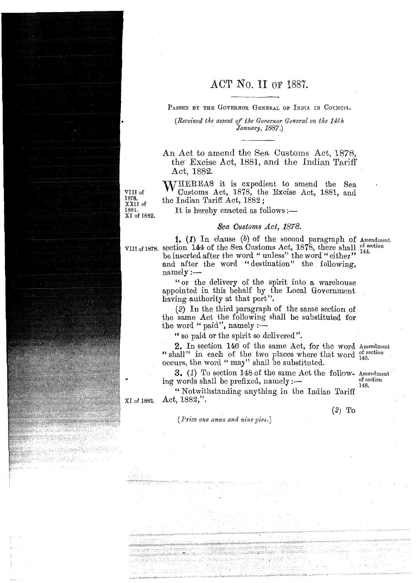# **ACT** No. II OF 1887.

PASSED BY THE GOVERNOR GENERAL OF INDIA IN COUNCIL.

*(Received the assent of tk.e Governor General on the 14th January, 1887.)* 

An Act to amend the Sea Customs Act, 1878, the. Excise Act, 1881, and the Indian Tariff Act, 1582.

WHEREAS it is expedient to amend the Sea Customs Act, 1878, the Excise Act, 1881, and the Indian Tariff Act, 1882 ;

It is hereby enacted as follows : $\leftarrow$ 

VIII of 1878.

#### Sea Customs Act, 1878.

1. (1) In clause  $(b)$  of the second paragraph of Amendment section 144 of the Sea Customs Act,  $1878$ , there shall of section the inner the Top of the width  $\frac{144}{144}$ . VIII of 1878. be inserted after the word " unless" the word " either" and after the word "destination" the following,  $namely:$ 

> "or the delivery of the spirit into a warehouse appointed in this behalf by the Local Government having authority at that port".

> (2) In the third paragraph of the same section of the same Act the following shall be substituted for the word " paid", namely :-

" so paid or the spirit so delivered".

2. In section 146' of the same Act, for the word Amendment " shall" in each of the two places where that word  $_{146}^{\text{of section}}$ occurs, the word "may" shall be substituted.

**3. (1)** To section 148 of the same Act the follow- Amendment ing words shall be prefixed, namely :- of section

**148.** 

"Notwithstanding anything in the Indian Tariff Act, 1882,". XI of 1882.

 $(2)$  To

*[Price one anna and nine pies.]* 

XXII of 1881. XI of 1882.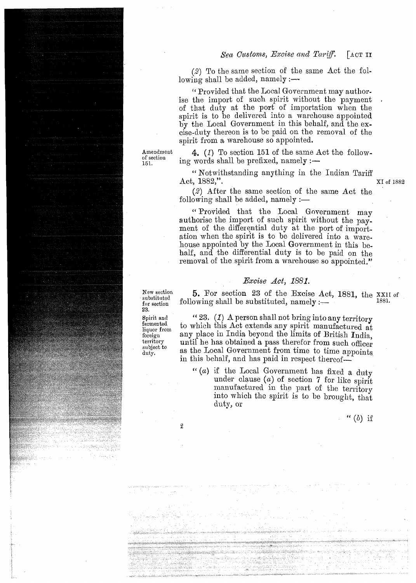### *Sea Customs, Excise and Tariff.* [ACT **II**

*(2)* To the same section of the same Act the following shall be added,  $namely :=$ 

" Provided that the Local Government may authorise the import of such spirit without the payment of that duty at the port of importation when the spirit is to be delivered into a warehouse appointed by the Local Government in this behalf, and the excise-duty thereon is to be paid on the removal of the spirit from a warehouse so appointed.

Amendment  $\mathbf{4.}$  (1) To section 151 of the same Act the following words shall be prefixed, namely  $:$   $-$ 

> **6'** Notwithstanding anything in the Indian Tariff Act,  $1882$ ,". XI of 1882

*(2)* After the same section of the same Act the following shall be added, namely :—

<< Provided that the Local Government may authorise the import of such spirit without the payment of the differential duty at the port of importation when the spirit is to be delivered into a warehouse appointed by the Local Government in this behalf, and the differential duty is to be paid on the removal of the spirit from a warehouse so appointed."

#### Bxcise Act, *1881.*

New section **5.** For section **23** of the Excise Act, 1881, the XXII of  $\frac{\text{substitute}}{\text{for section}}$  following shall be substituted, namely :- 1881.

 $\begin{array}{ll}\n\text{Spirit and} \\
\text{fermented} \\
\text{for which this Act extends any similar.}\n\end{array}$ fermented to which this Act extends any spirit manufactured at liquor from any place in India beyond the limits of British India. foreign any place in India beyond the limits of British India,<br>territory until he has obtained a pass therefor from such officer territory until he has obtained a pass therefor from such officer<br>subject to an the Local Goroum such them time to time  $\frac{\text{subject to}}{\text{duty.}}$  as the Local Government from time to time appoints in this behalf, and has paid in respect thereof-

> $f'(a)$  if the Local Government has fixed a duty under clause *(a)* of section **7** for like spirit manufactured in the part of the territory into which the spirit is to be brought, that duty, or

> > "  $(b)$  if

of section<br>151.

**23.** 

 $\boldsymbol{2}$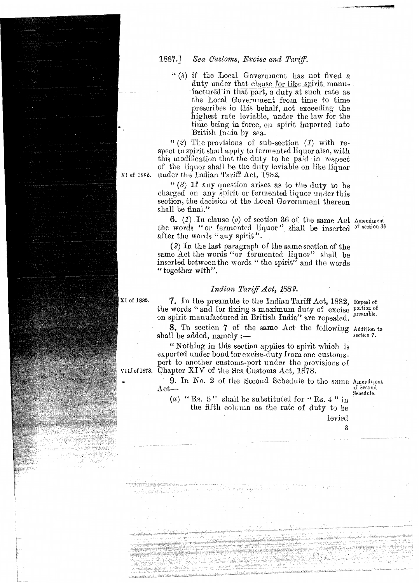1887.] Sea Customs, Excise and Tariff.

" (6) if the Local Government has not fixed *<sup>a</sup>* duty under that clause for like spirit manufactured in that part, a duty at such rate as the Local Government from time to time prescribes in this behalf, not exceeding the highest rate leviable, under the law for the time being in force, on spirit imported into British India by sea.

" (2) The provisions of sub-section (1) with respect to spirit shall apply to fermented liquor also, with this modification that the duty to be paid in respect of the liquor shall be the duty leviable on like liquor under the Indian Tariff  $\Delta ct$ , 1882.

XI of 1882.

" $(3)$  If any question arises as to the duty to be charged on any spirit or fermented liquor under this section, the decision of the Local Government thereon shall be final."

**6.** (1) In clause (c) of section 36 of the same Act Amendment the words "or fermented liquor" shall be inserted of section 36. after the words "any spirit".

(2) In the last paragraph of the same section of the same Act the words "or fermented liquor" shall be inserted between the words " the spirit" and the words " together with".

#### *Indian Tariff Act, 1882.*

XI of 1882.

VIII of 1878.

7. In the preamble to the Indian Tariff Act, 1882, Repeal of the words " and for fixing a maximum duty of excise portion of on oninit mean factured in Pritich Lattich on spirit manufactured in British India" are repealed.

**8.** To section 7 of the same Act the following Addition to **s.** 10 section 7 of the same Act the following Addition to hall be added, namely :shall be added, namely  $:$ —<br>"Nothing in this section applies to spirit which is

exported under bond for excise-duty from one customsport to another customs-port under Ihe provisions of Chapter XIV of the Sea Customs Act, 1878.

**9.** In No. 2 of the Sccond Schedule to the same Amendmont flet—<br>Act—<br>Schedule.  $\text{Act}\longrightarrow$ <br>
(a) " Rs. 5" shall be substituted for " Rs. 4" in<br>
(a) " Rs. 5" shall be substituted for " Rs. 4" in

tlie fifth column as the rate of duty to be levied

3